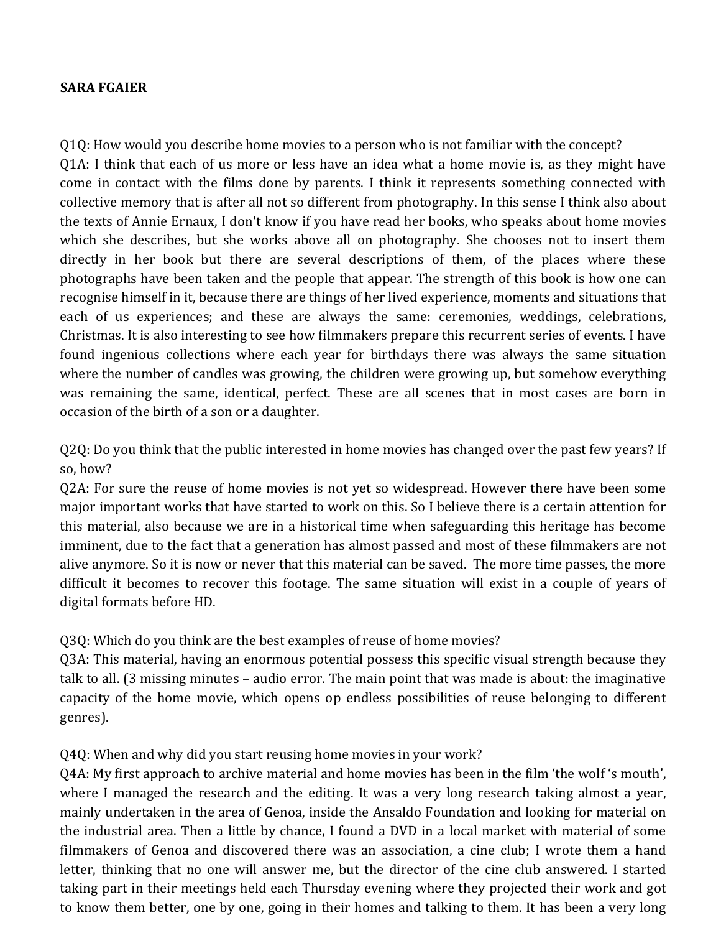## **SARA FGAIER**

Q1Q: How would you describe home movies to a person who is not familiar with the concept?  $Q1A: I$  think that each of us more or less have an idea what a home movie is, as they might have come in contact with the films done by parents. I think it represents something connected with collective memory that is after all not so different from photography. In this sense I think also about the texts of Annie Ernaux, I don't know if you have read her books, who speaks about home movies which she describes, but she works above all on photography. She chooses not to insert them directly in her book but there are several descriptions of them, of the places where these photographs have been taken and the people that appear. The strength of this book is how one can recognise himself in it, because there are things of her lived experience, moments and situations that each of us experiences; and these are always the same: ceremonies, weddings, celebrations, Christmas. It is also interesting to see how filmmakers prepare this recurrent series of events. I have found ingenious collections where each year for birthdays there was always the same situation where the number of candles was growing, the children were growing up, but somehow everything was remaining the same, identical, perfect. These are all scenes that in most cases are born in occasion of the birth of a son or a daughter.

Q2Q: Do you think that the public interested in home movies has changed over the past few years? If so, how?

Q2A: For sure the reuse of home movies is not yet so widespread. However there have been some major important works that have started to work on this. So I believe there is a certain attention for this material, also because we are in a historical time when safeguarding this heritage has become imminent, due to the fact that a generation has almost passed and most of these filmmakers are not alive anymore. So it is now or never that this material can be saved. The more time passes, the more difficult it becomes to recover this footage. The same situation will exist in a couple of years of digital formats before HD.

## Q3Q: Which do you think are the best examples of reuse of home movies?

Q3A: This material, having an enormous potential possess this specific visual strength because they talk to all. (3 missing minutes – audio error. The main point that was made is about: the imaginative capacity of the home movie, which opens op endless possibilities of reuse belonging to different genres).

## Q4Q: When and why did you start reusing home movies in your work?

O4A: My first approach to archive material and home movies has been in the film 'the wolf 's mouth', where I managed the research and the editing. It was a very long research taking almost a year, mainly undertaken in the area of Genoa, inside the Ansaldo Foundation and looking for material on the industrial area. Then a little by chance, I found a DVD in a local market with material of some filmmakers of Genoa and discovered there was an association, a cine club; I wrote them a hand letter, thinking that no one will answer me, but the director of the cine club answered. I started taking part in their meetings held each Thursday evening where they projected their work and got to know them better, one by one, going in their homes and talking to them. It has been a very long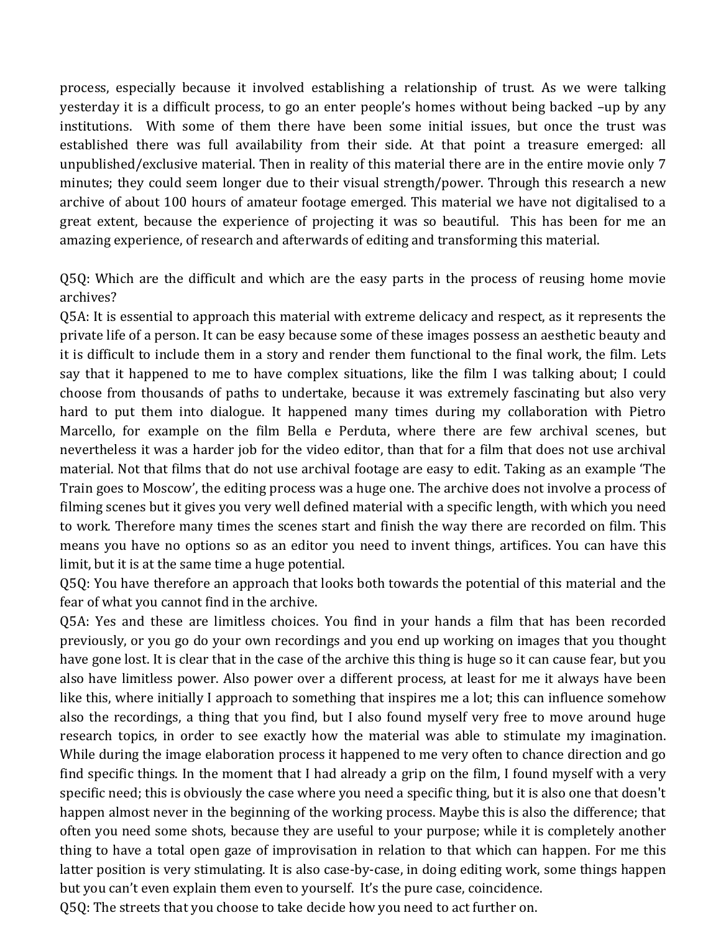process, especially because it involved establishing a relationship of trust. As we were talking yesterday it is a difficult process, to go an enter people's homes without being backed -up by any institutions. With some of them there have been some initial issues, but once the trust was established there was full availability from their side. At that point a treasure emerged: all unpublished/exclusive material. Then in reality of this material there are in the entire movie only 7 minutes; they could seem longer due to their visual strength/power. Through this research a new archive of about 100 hours of amateur footage emerged. This material we have not digitalised to a great extent, because the experience of projecting it was so beautiful. This has been for me an amazing experience, of research and afterwards of editing and transforming this material.

Q5Q: Which are the difficult and which are the easy parts in the process of reusing home movie archives?

Q5A: It is essential to approach this material with extreme delicacy and respect, as it represents the private life of a person. It can be easy because some of these images possess an aesthetic beauty and it is difficult to include them in a story and render them functional to the final work, the film. Lets say that it happened to me to have complex situations, like the film I was talking about; I could choose from thousands of paths to undertake, because it was extremely fascinating but also very hard to put them into dialogue. It happened many times during my collaboration with Pietro Marcello, for example on the film Bella e Perduta, where there are few archival scenes, but nevertheless it was a harder job for the video editor, than that for a film that does not use archival material. Not that films that do not use archival footage are easy to edit. Taking as an example 'The Train goes to Moscow', the editing process was a huge one. The archive does not involve a process of filming scenes but it gives you very well defined material with a specific length, with which you need to work. Therefore many times the scenes start and finish the way there are recorded on film. This means you have no options so as an editor you need to invent things, artifices. You can have this limit, but it is at the same time a huge potential.

Q5Q: You have therefore an approach that looks both towards the potential of this material and the fear of what you cannot find in the archive.

Q5A: Yes and these are limitless choices. You find in your hands a film that has been recorded previously, or you go do your own recordings and you end up working on images that you thought have gone lost. It is clear that in the case of the archive this thing is huge so it can cause fear, but you also have limitless power. Also power over a different process, at least for me it always have been like this, where initially I approach to something that inspires me a lot; this can influence somehow also the recordings, a thing that you find, but I also found myself very free to move around huge research topics, in order to see exactly how the material was able to stimulate my imagination. While during the image elaboration process it happened to me very often to chance direction and go find specific things. In the moment that I had already a grip on the film, I found myself with a very specific need; this is obviously the case where you need a specific thing, but it is also one that doesn't happen almost never in the beginning of the working process. Maybe this is also the difference; that often you need some shots, because they are useful to your purpose; while it is completely another thing to have a total open gaze of improvisation in relation to that which can happen. For me this latter position is very stimulating. It is also case-by-case, in doing editing work, some things happen but you can't even explain them even to yourself. It's the pure case, coincidence.

Q5Q: The streets that you choose to take decide how you need to act further on.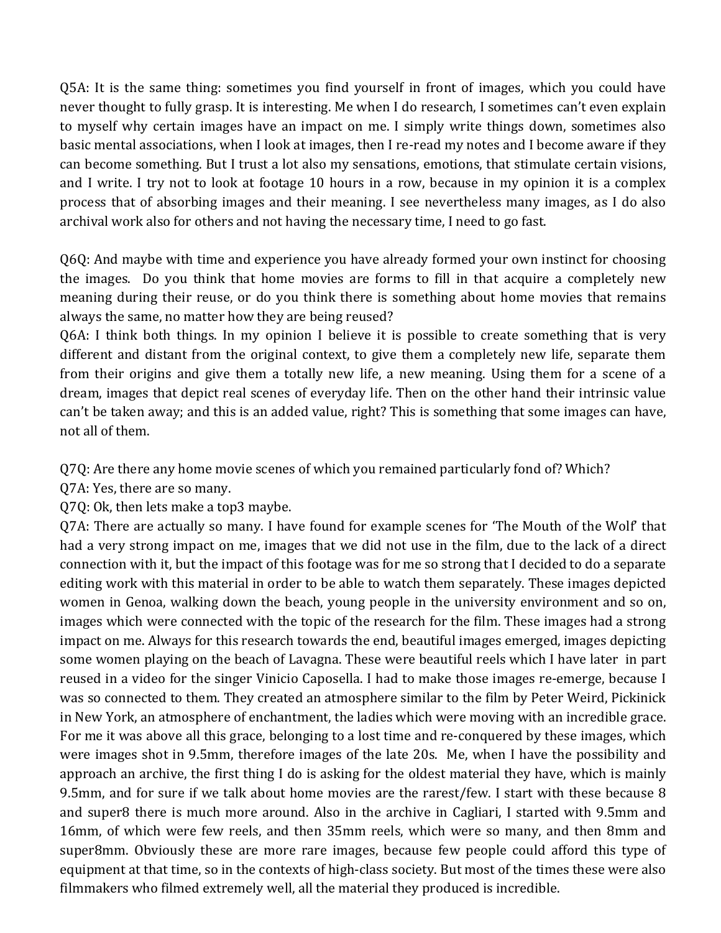Q5A: It is the same thing: sometimes you find yourself in front of images, which you could have never thought to fully grasp. It is interesting. Me when I do research, I sometimes can't even explain to myself why certain images have an impact on me. I simply write things down, sometimes also basic mental associations, when I look at images, then I re-read my notes and I become aware if they can become something. But I trust a lot also my sensations, emotions, that stimulate certain visions, and I write. I try not to look at footage 10 hours in a row, because in my opinion it is a complex process that of absorbing images and their meaning. I see nevertheless many images, as I do also archival work also for others and not having the necessary time, I need to go fast.

Q6Q: And maybe with time and experience you have already formed your own instinct for choosing the images. Do you think that home movies are forms to fill in that acquire a completely new meaning during their reuse, or do you think there is something about home movies that remains always the same, no matter how they are being reused?

Q6A: I think both things. In my opinion I believe it is possible to create something that is very different and distant from the original context, to give them a completely new life, separate them from their origins and give them a totally new life, a new meaning. Using them for a scene of a dream, images that depict real scenes of everyday life. Then on the other hand their intrinsic value can't be taken away; and this is an added value, right? This is something that some images can have, not all of them.

Q7Q: Are there any home movie scenes of which you remained particularly fond of? Which?

Q7A: Yes, there are so many.

Q7Q: Ok, then lets make a top3 maybe.

Q7A: There are actually so many. I have found for example scenes for 'The Mouth of the Wolf' that had a very strong impact on me, images that we did not use in the film, due to the lack of a direct connection with it, but the impact of this footage was for me so strong that I decided to do a separate editing work with this material in order to be able to watch them separately. These images depicted women in Genoa, walking down the beach, young people in the university environment and so on, images which were connected with the topic of the research for the film. These images had a strong impact on me. Always for this research towards the end, beautiful images emerged, images depicting some women playing on the beach of Lavagna. These were beautiful reels which I have later in part reused in a video for the singer Vinicio Caposella. I had to make those images re-emerge, because I was so connected to them. They created an atmosphere similar to the film by Peter Weird, Pickinick in New York, an atmosphere of enchantment, the ladies which were moving with an incredible grace. For me it was above all this grace, belonging to a lost time and re-conquered by these images, which were images shot in 9.5mm, therefore images of the late 20s. Me, when I have the possibility and approach an archive, the first thing I do is asking for the oldest material they have, which is mainly 9.5mm, and for sure if we talk about home movies are the rarest/few. I start with these because 8 and super8 there is much more around. Also in the archive in Cagliari, I started with 9.5mm and 16mm, of which were few reels, and then 35mm reels, which were so many, and then 8mm and super8mm. Obviously these are more rare images, because few people could afford this type of equipment at that time, so in the contexts of high-class society. But most of the times these were also filmmakers who filmed extremely well, all the material they produced is incredible.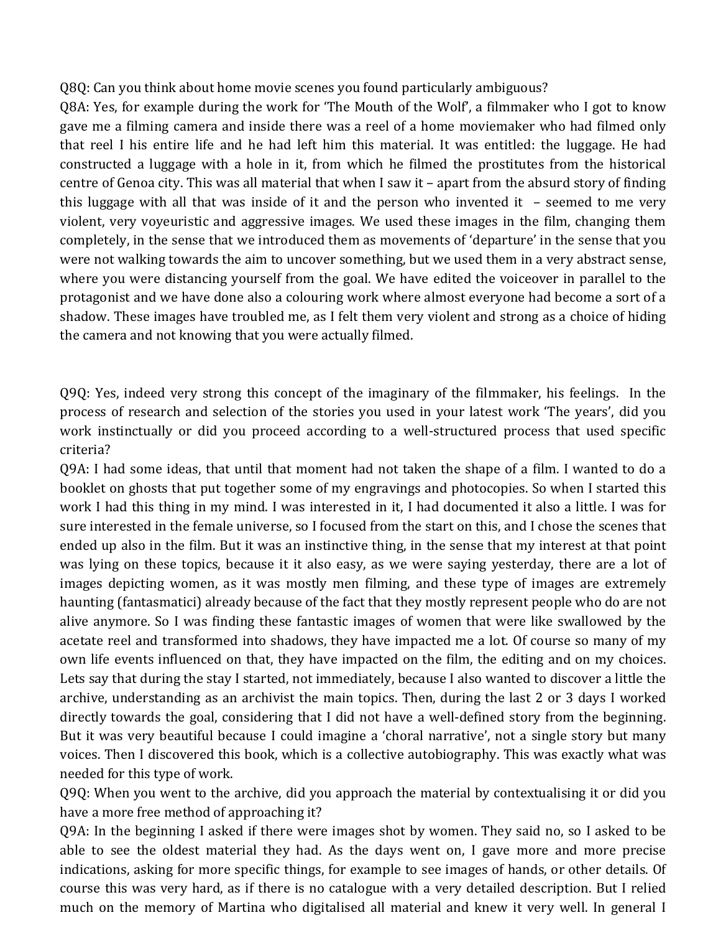Q8Q: Can you think about home movie scenes you found particularly ambiguous?

Q8A: Yes, for example during the work for 'The Mouth of the Wolf', a filmmaker who I got to know gave me a filming camera and inside there was a reel of a home moviemaker who had filmed only that reel I his entire life and he had left him this material. It was entitled: the luggage. He had constructed a luggage with a hole in it, from which he filmed the prostitutes from the historical centre of Genoa city. This was all material that when I saw it – apart from the absurd story of finding this luggage with all that was inside of it and the person who invented it  $-$  seemed to me very violent, very voyeuristic and aggressive images. We used these images in the film, changing them completely, in the sense that we introduced them as movements of 'departure' in the sense that you were not walking towards the aim to uncover something, but we used them in a very abstract sense, where you were distancing yourself from the goal. We have edited the voiceover in parallel to the protagonist and we have done also a colouring work where almost everyone had become a sort of a shadow. These images have troubled me, as I felt them very violent and strong as a choice of hiding the camera and not knowing that you were actually filmed.

Q9Q: Yes, indeed very strong this concept of the imaginary of the filmmaker, his feelings. In the process of research and selection of the stories you used in your latest work 'The years', did you work instinctually or did you proceed according to a well-structured process that used specific criteria?

Q9A: I had some ideas, that until that moment had not taken the shape of a film. I wanted to do a booklet on ghosts that put together some of my engravings and photocopies. So when I started this work I had this thing in my mind. I was interested in it, I had documented it also a little. I was for sure interested in the female universe, so I focused from the start on this, and I chose the scenes that ended up also in the film. But it was an instinctive thing, in the sense that my interest at that point was lying on these topics, because it it also easy, as we were saying yesterday, there are a lot of images depicting women, as it was mostly men filming, and these type of images are extremely haunting (fantasmatici) already because of the fact that they mostly represent people who do are not alive anymore. So I was finding these fantastic images of women that were like swallowed by the acetate reel and transformed into shadows, they have impacted me a lot. Of course so many of my own life events influenced on that, they have impacted on the film, the editing and on my choices. Lets say that during the stay I started, not immediately, because I also wanted to discover a little the archive, understanding as an archivist the main topics. Then, during the last 2 or 3 days I worked directly towards the goal, considering that I did not have a well-defined story from the beginning. But it was very beautiful because I could imagine a 'choral narrative', not a single story but many voices. Then I discovered this book, which is a collective autobiography. This was exactly what was needed for this type of work.

Q9Q: When you went to the archive, did you approach the material by contextualising it or did you have a more free method of approaching it?

Q9A: In the beginning I asked if there were images shot by women. They said no, so I asked to be able to see the oldest material they had. As the days went on, I gave more and more precise indications, asking for more specific things, for example to see images of hands, or other details. Of course this was very hard, as if there is no catalogue with a very detailed description. But I relied much on the memory of Martina who digitalised all material and knew it very well. In general I